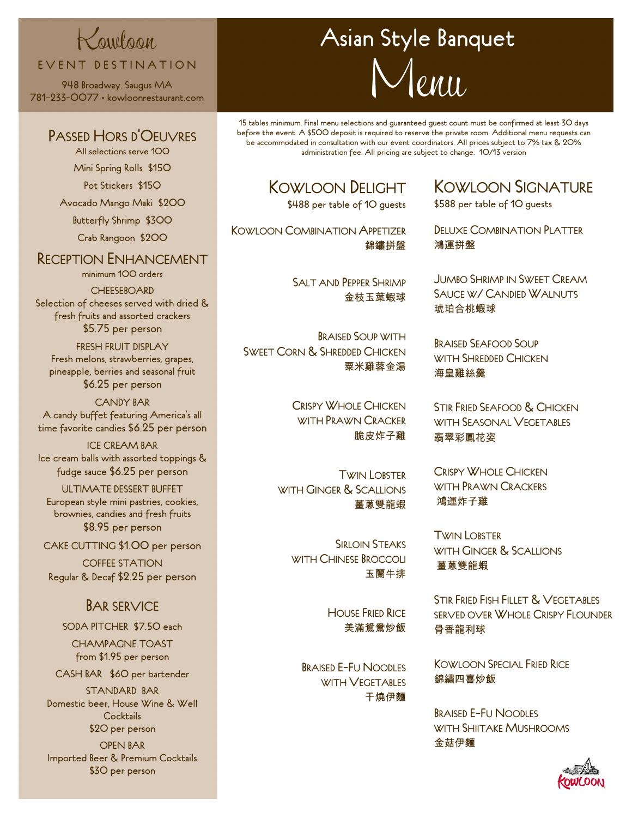# Kowloon EVENT DESTINATION

948 Broadway. Saugus MA 781-233-0077 • kowloonrestaurant.com

#### PASSED HORS D'OEUVRES

All selections serve 100 Mini Spring Rolls \$150

Pot Stickers \$150

Avocado Mango Maki \$200

Butterfly Shrimp \$300

Crab Rangoon \$200

## RECEPTION ENHANCEMENT

minimum 100 orders

**CHEESEBOARD** Selection of cheeses served with dried & fresh fruits and assorted crackers \$5.75 per person

FRESH FRUIT DISPLAY Fresh melons, strawberries, grapes, pineapple, berries and seasonal fruit \$6.25 per person

CANDY BAR A candy buffet featuring America's all time favorite candies \$6.25 per person

ICE CREAM BAR Ice cream balls with assorted toppings & fudge sauce \$6.25 per person

ULTIMATE DESSERT BUFFET European style mini pastries, cookies, brownies, candies and fresh fruits \$8.95 per person

CAKE CUTTING \$1.00 per person

COFFEE STATION Regular & Decaf \$2.25 per person

## BAR SERVICE

#### SODA PITCHER \$7.50 each

CHAMPAGNE TOAST from \$1.95 per person

CASH BAR \$60 per bartender

STANDARD BAR Domestic beer, House Wine & Well **Cocktails** \$20 per person

OPEN BAR Imported Beer & Premium Cocktails \$30 per person

# Asian Style Banquet  $\ell$ *MII.*

15 tables minimum. Final menu selections and guaranteed guest count must be confirmed at least 30 days before the event. A \$500 deposit is required to reserve the private room. Additional menu requests can be accommodated in consultation with our event coordinators. All prices subject to 7% tax & 20% administration fee. All pricing are subject to change. 10/13 version

# KOWLOON DELIGHT

\$488 per table of 10 guests

KOWLOON COMBINATION APPETIZER 錦鏽拼盤

> SALT AND PEPPER SHRIMP 金枝玉葉蝦球

BRAISED SOUP WITH SWEET CORN & SHREDDED CHICKEN 粟米雞蓉金湯

> CRISPY WHOLE CHICKEN WITH PRAWN CRACKER 脆皮炸子雞

TWIN LOBSTER WITH GINGER & SCALLIONS 薑蔥雙龍蝦

> SIRLOIN STEAKS WITH CHINESE BROCCOLL 玉蘭牛排

> > **HOUSE FRIED RICE** 美滿鴛鴦炒飯

BRAISED E-FU NOODLES WITH **VEGETABLES** 干燒伊麵

KOWLOON SIGNATURE

\$588 per table of 10 guests

DELUXE COMBINATION PLATTER 鴻運拼盤

JUMBO SHRIMP IN SWEET CREAM SAUCE W/ CANDIED WALNUTS 琥珀合桃蝦球

BRAISED SEAFOOD SOUP WITH SHREDDED CHICKEN 海皇雞絲羹

STIR FRIED SEAFOOD & CHICKEN WITH **SEASONAL VEGETABLES** 翡翠彩鳳花姿

CRISPY WHOLE CHICKEN WITH PRAWN CRACKERS 鴻運炸子雞

TWIN LOBSTER WITH GINGER & SCALLIONS 薑蔥雙龍蝦

STIR FRIED FISH FILLET & VEGETABLES SERVED OVER WHOLE CRISPY FLOUNDER 骨香龍利球

KOWLOON SPECIAL FRIED RICE 錦繡四喜炒飯

BRAISED E-FU NOODLES WITH SHIITAKE MUSHROOMS 金菇伊麵